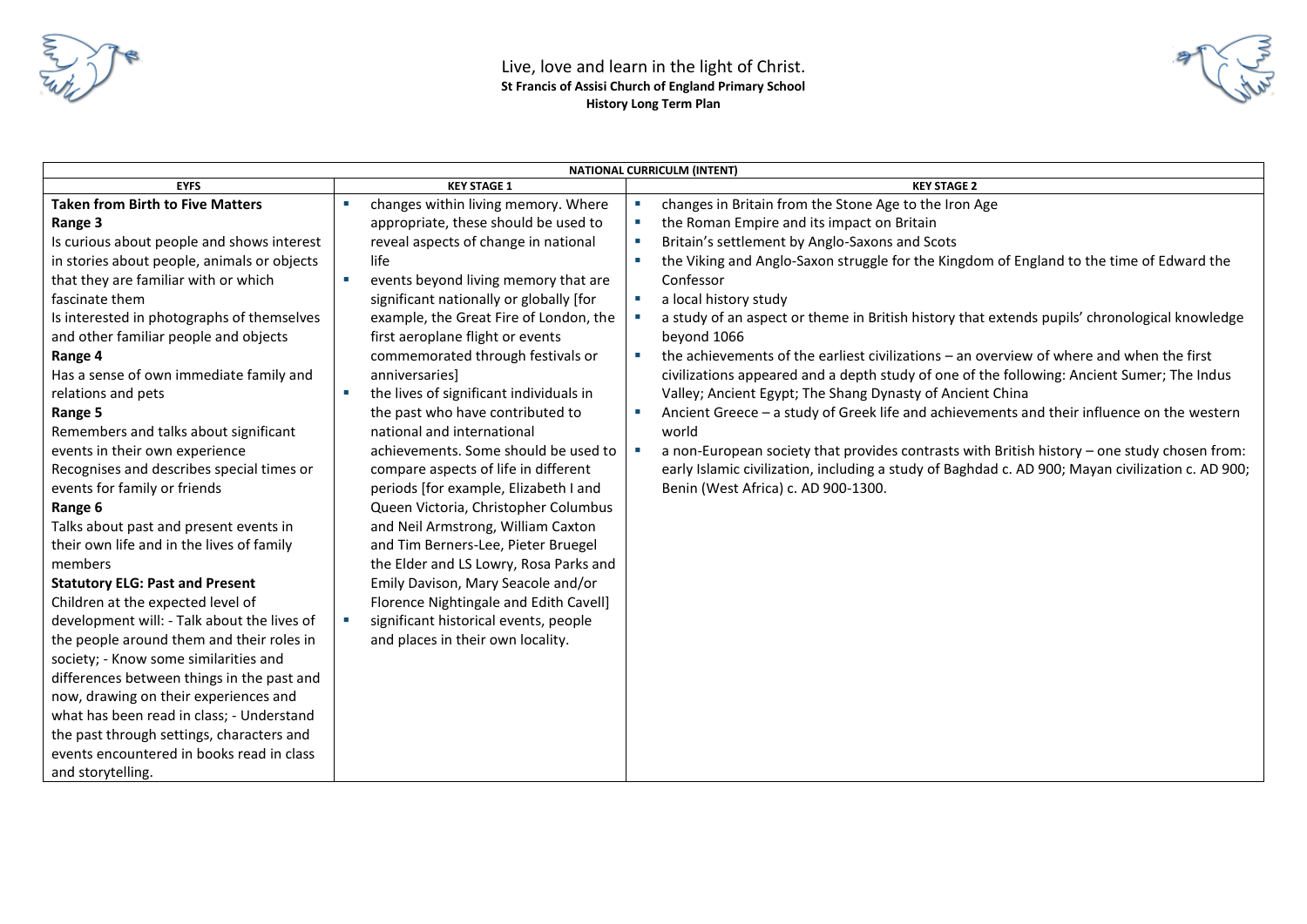

| <b>NATIONAL CURRICULM (INTENT)</b>          |                                                                                                                  |                                                                                                   |  |  |  |  |  |
|---------------------------------------------|------------------------------------------------------------------------------------------------------------------|---------------------------------------------------------------------------------------------------|--|--|--|--|--|
| <b>EYFS</b>                                 | <b>KEY STAGE 1</b>                                                                                               | <b>KEY STAGE 2</b>                                                                                |  |  |  |  |  |
| <b>Taken from Birth to Five Matters</b>     | changes within living memory. Where<br>changes in Britain from the Stone Age to the Iron Age<br>a.               |                                                                                                   |  |  |  |  |  |
| Range 3                                     | appropriate, these should be used to<br>the Roman Empire and its impact on Britain<br>$\mathcal{M}_{\rm{c}}$     |                                                                                                   |  |  |  |  |  |
| Is curious about people and shows interest  | reveal aspects of change in national<br>Britain's settlement by Anglo-Saxons and Scots<br>$\mathcal{M}_{\rm{c}}$ |                                                                                                   |  |  |  |  |  |
| in stories about people, animals or objects | life<br>×.                                                                                                       | the Viking and Anglo-Saxon struggle for the Kingdom of England to the time of Edward the          |  |  |  |  |  |
| that they are familiar with or which        | events beyond living memory that are<br>Confessor<br><b>COL</b>                                                  |                                                                                                   |  |  |  |  |  |
| fascinate them                              | significant nationally or globally [for<br>a local history study<br>×.                                           |                                                                                                   |  |  |  |  |  |
| Is interested in photographs of themselves  | example, the Great Fire of London, the<br>×.                                                                     | a study of an aspect or theme in British history that extends pupils' chronological knowledge     |  |  |  |  |  |
| and other familiar people and objects       | first aeroplane flight or events<br>beyond 1066                                                                  |                                                                                                   |  |  |  |  |  |
| Range 4                                     | commemorated through festivals or<br>$\mathcal{L}_{\mathcal{A}}$                                                 | the achievements of the earliest civilizations - an overview of where and when the first          |  |  |  |  |  |
| Has a sense of own immediate family and     | anniversaries]                                                                                                   | civilizations appeared and a depth study of one of the following: Ancient Sumer; The Indus        |  |  |  |  |  |
| relations and pets                          | the lives of significant individuals in<br>Valley; Ancient Egypt; The Shang Dynasty of Ancient China<br>×        |                                                                                                   |  |  |  |  |  |
| Range 5                                     | the past who have contributed to<br>$\mathcal{M}_{\rm{c}}$                                                       | Ancient Greece - a study of Greek life and achievements and their influence on the western        |  |  |  |  |  |
| Remembers and talks about significant       | national and international<br>world                                                                              |                                                                                                   |  |  |  |  |  |
| events in their own experience              | achievements. Some should be used to<br>a.                                                                       | a non-European society that provides contrasts with British history - one study chosen from:      |  |  |  |  |  |
| Recognises and describes special times or   | compare aspects of life in different                                                                             | early Islamic civilization, including a study of Baghdad c. AD 900; Mayan civilization c. AD 900; |  |  |  |  |  |
| events for family or friends                | periods [for example, Elizabeth I and<br>Benin (West Africa) c. AD 900-1300.                                     |                                                                                                   |  |  |  |  |  |
| Range 6                                     | Queen Victoria, Christopher Columbus                                                                             |                                                                                                   |  |  |  |  |  |
| Talks about past and present events in      | and Neil Armstrong, William Caxton                                                                               |                                                                                                   |  |  |  |  |  |
| their own life and in the lives of family   | and Tim Berners-Lee, Pieter Bruegel                                                                              |                                                                                                   |  |  |  |  |  |
| members                                     | the Elder and LS Lowry, Rosa Parks and                                                                           |                                                                                                   |  |  |  |  |  |
| <b>Statutory ELG: Past and Present</b>      | Emily Davison, Mary Seacole and/or                                                                               |                                                                                                   |  |  |  |  |  |
| Children at the expected level of           | Florence Nightingale and Edith Cavell]                                                                           |                                                                                                   |  |  |  |  |  |
| development will: - Talk about the lives of | significant historical events, people                                                                            |                                                                                                   |  |  |  |  |  |
| the people around them and their roles in   | and places in their own locality.                                                                                |                                                                                                   |  |  |  |  |  |
| society; - Know some similarities and       |                                                                                                                  |                                                                                                   |  |  |  |  |  |
| differences between things in the past and  |                                                                                                                  |                                                                                                   |  |  |  |  |  |
| now, drawing on their experiences and       |                                                                                                                  |                                                                                                   |  |  |  |  |  |
| what has been read in class; - Understand   |                                                                                                                  |                                                                                                   |  |  |  |  |  |
| the past through settings, characters and   |                                                                                                                  |                                                                                                   |  |  |  |  |  |
| events encountered in books read in class   |                                                                                                                  |                                                                                                   |  |  |  |  |  |
| and storytelling.                           |                                                                                                                  |                                                                                                   |  |  |  |  |  |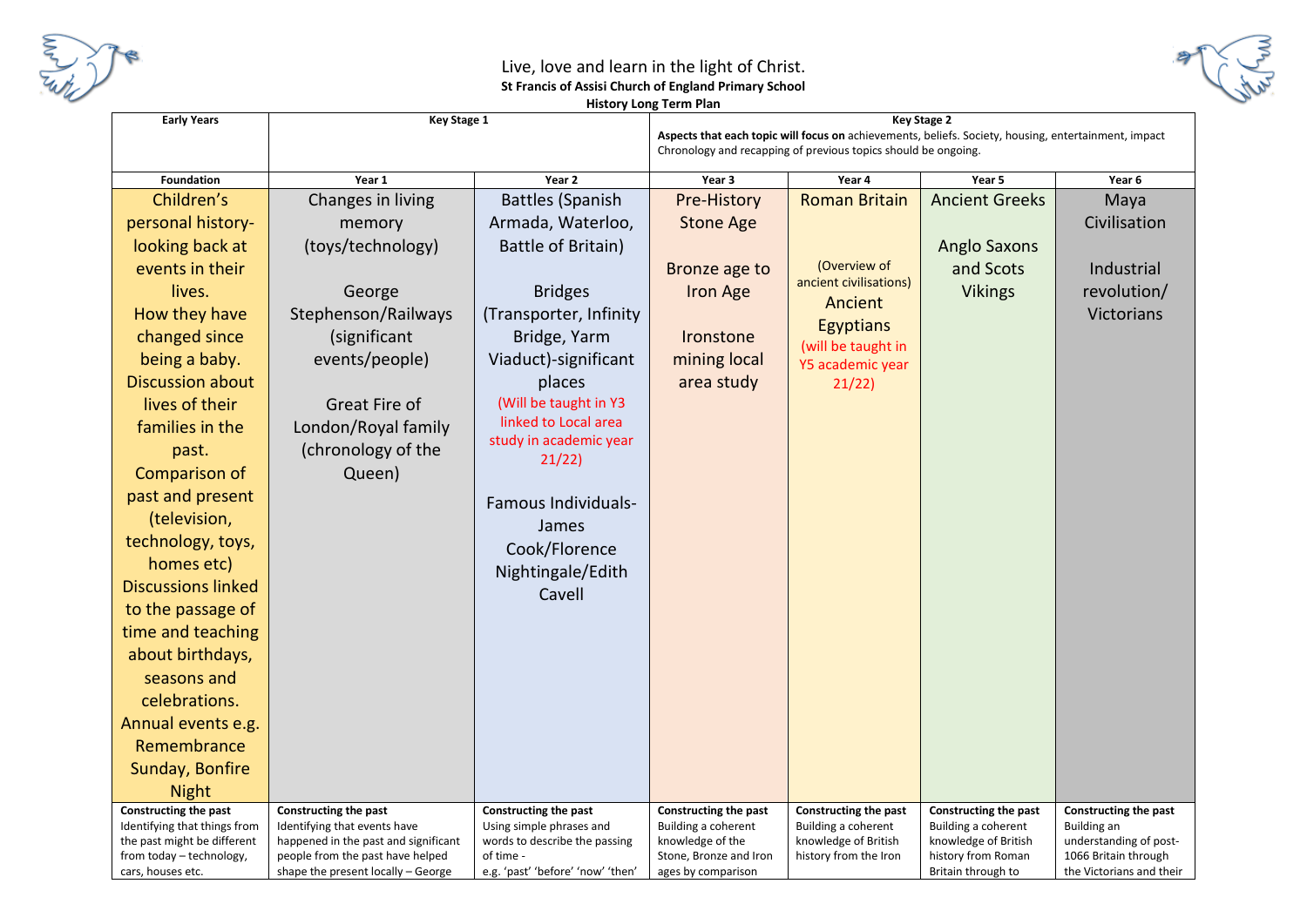

#### Live, love and learn in the light of Christ. **St Francis of Assisi Church of England Primary School History Long Term Plan**



| <b>Early Years</b>                                          | <b>Key Stage 1</b>                                                   |                                                           | <b>INSIDIY LUNG TERMIT KIN</b>          |                                                                | Key Stage 2                                                                                          |                                       |
|-------------------------------------------------------------|----------------------------------------------------------------------|-----------------------------------------------------------|-----------------------------------------|----------------------------------------------------------------|------------------------------------------------------------------------------------------------------|---------------------------------------|
|                                                             |                                                                      |                                                           |                                         |                                                                | Aspects that each topic will focus on achievements, beliefs. Society, housing, entertainment, impact |                                       |
|                                                             |                                                                      |                                                           |                                         | Chronology and recapping of previous topics should be ongoing. |                                                                                                      |                                       |
| <b>Foundation</b>                                           | Year 1                                                               | Year 2                                                    | Year 3                                  | Year 4                                                         | Year 5                                                                                               | Year 6                                |
| Children's                                                  | Changes in living                                                    | <b>Battles (Spanish</b>                                   | Pre-History                             | <b>Roman Britain</b>                                           | <b>Ancient Greeks</b>                                                                                | Maya                                  |
| personal history-                                           | memory                                                               | Armada, Waterloo,                                         | <b>Stone Age</b>                        |                                                                |                                                                                                      | Civilisation                          |
| looking back at                                             | (toys/technology)                                                    | <b>Battle of Britain)</b>                                 |                                         |                                                                | <b>Anglo Saxons</b>                                                                                  |                                       |
| events in their                                             |                                                                      |                                                           | Bronze age to                           | (Overview of                                                   | and Scots                                                                                            | Industrial                            |
| lives.                                                      | George                                                               | <b>Bridges</b>                                            | Iron Age                                | ancient civilisations)<br>Ancient                              | <b>Vikings</b>                                                                                       | revolution/                           |
| How they have                                               | Stephenson/Railways                                                  | (Transporter, Infinity                                    |                                         |                                                                |                                                                                                      | Victorians                            |
| changed since                                               | (significant                                                         | Bridge, Yarm                                              | Ironstone                               | <b>Egyptians</b><br>(will be taught in                         |                                                                                                      |                                       |
| being a baby.                                               | events/people)                                                       | Viaduct)-significant                                      | mining local                            | Y5 academic year                                               |                                                                                                      |                                       |
| <b>Discussion about</b>                                     |                                                                      | places                                                    | area study                              | 21/22)                                                         |                                                                                                      |                                       |
| lives of their                                              | Great Fire of                                                        | (Will be taught in Y3                                     |                                         |                                                                |                                                                                                      |                                       |
| families in the                                             | London/Royal family                                                  | linked to Local area                                      |                                         |                                                                |                                                                                                      |                                       |
| past.                                                       | (chronology of the                                                   | study in academic year<br>21/22                           |                                         |                                                                |                                                                                                      |                                       |
| Comparison of                                               | Queen)                                                               |                                                           |                                         |                                                                |                                                                                                      |                                       |
| past and present                                            |                                                                      | Famous Individuals-                                       |                                         |                                                                |                                                                                                      |                                       |
| (television,                                                |                                                                      | James                                                     |                                         |                                                                |                                                                                                      |                                       |
| technology, toys,                                           |                                                                      | Cook/Florence                                             |                                         |                                                                |                                                                                                      |                                       |
| homes etc)                                                  |                                                                      | Nightingale/Edith                                         |                                         |                                                                |                                                                                                      |                                       |
| <b>Discussions linked</b>                                   |                                                                      | Cavell                                                    |                                         |                                                                |                                                                                                      |                                       |
| to the passage of                                           |                                                                      |                                                           |                                         |                                                                |                                                                                                      |                                       |
| time and teaching                                           |                                                                      |                                                           |                                         |                                                                |                                                                                                      |                                       |
| about birthdays,                                            |                                                                      |                                                           |                                         |                                                                |                                                                                                      |                                       |
| seasons and                                                 |                                                                      |                                                           |                                         |                                                                |                                                                                                      |                                       |
| celebrations.                                               |                                                                      |                                                           |                                         |                                                                |                                                                                                      |                                       |
| Annual events e.g.                                          |                                                                      |                                                           |                                         |                                                                |                                                                                                      |                                       |
| Remembrance                                                 |                                                                      |                                                           |                                         |                                                                |                                                                                                      |                                       |
| Sunday, Bonfire                                             |                                                                      |                                                           |                                         |                                                                |                                                                                                      |                                       |
| <b>Night</b>                                                |                                                                      |                                                           |                                         |                                                                |                                                                                                      |                                       |
| Constructing the past                                       | Constructing the past                                                | Constructing the past                                     | Constructing the past                   | Constructing the past                                          | Constructing the past                                                                                | Constructing the past                 |
| Identifying that things from<br>the past might be different | Identifying that events have<br>happened in the past and significant | Using simple phrases and<br>words to describe the passing | Building a coherent<br>knowledge of the | Building a coherent<br>knowledge of British                    | Building a coherent<br>knowledge of British                                                          | Building an<br>understanding of post- |
| from today - technology,                                    | people from the past have helped                                     | of time -                                                 | Stone, Bronze and Iron                  | history from the Iron                                          | history from Roman                                                                                   | 1066 Britain through                  |
| cars, houses etc.                                           | shape the present locally – George                                   | e.g. 'past' 'before' 'now' 'then'                         | ages by comparison                      |                                                                | Britain through to                                                                                   | the Victorians and their              |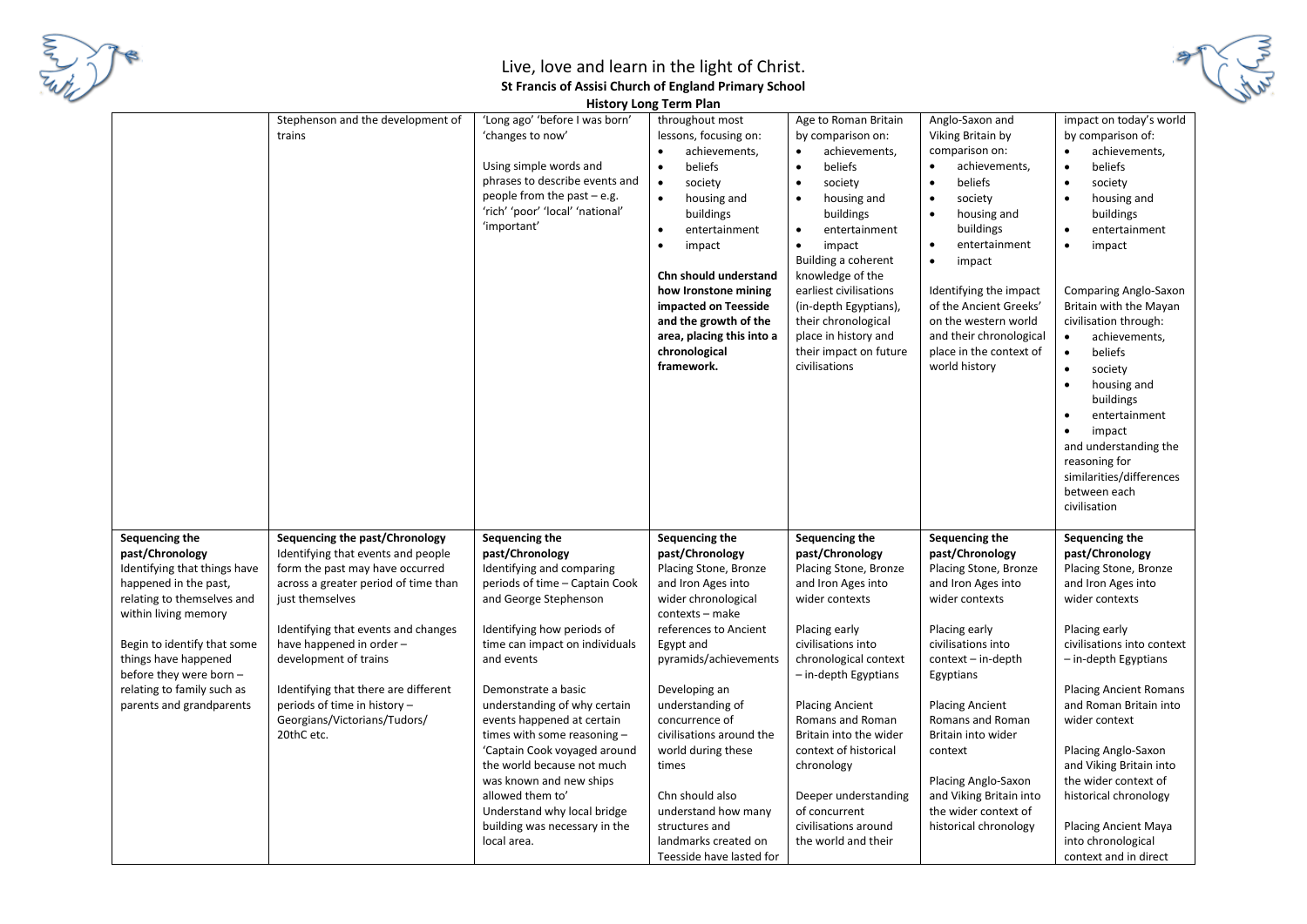

**History Long Term Plan**

|                                                                                                                                                                                                                                                                                              |                                                                                                                                                                                                                                                                                                                                                                                      | <b>THOMAGIA LONG I CHILL IGHT</b>                                                                                                                                                                                                                                                                                                                                                                                                                                                                                       |                                                                                                                                                                                                                                                                                                                                                                                                                             |                                                                                                                                                                                                                                                                                                                                                                                                               |                                                                                                                                                                                                                                                                                                                                                                          |                                                                                                                                                                                                                                                                                                                                                                                                                                                                                                                                                 |
|----------------------------------------------------------------------------------------------------------------------------------------------------------------------------------------------------------------------------------------------------------------------------------------------|--------------------------------------------------------------------------------------------------------------------------------------------------------------------------------------------------------------------------------------------------------------------------------------------------------------------------------------------------------------------------------------|-------------------------------------------------------------------------------------------------------------------------------------------------------------------------------------------------------------------------------------------------------------------------------------------------------------------------------------------------------------------------------------------------------------------------------------------------------------------------------------------------------------------------|-----------------------------------------------------------------------------------------------------------------------------------------------------------------------------------------------------------------------------------------------------------------------------------------------------------------------------------------------------------------------------------------------------------------------------|---------------------------------------------------------------------------------------------------------------------------------------------------------------------------------------------------------------------------------------------------------------------------------------------------------------------------------------------------------------------------------------------------------------|--------------------------------------------------------------------------------------------------------------------------------------------------------------------------------------------------------------------------------------------------------------------------------------------------------------------------------------------------------------------------|-------------------------------------------------------------------------------------------------------------------------------------------------------------------------------------------------------------------------------------------------------------------------------------------------------------------------------------------------------------------------------------------------------------------------------------------------------------------------------------------------------------------------------------------------|
|                                                                                                                                                                                                                                                                                              | Stephenson and the development of<br>trains                                                                                                                                                                                                                                                                                                                                          | 'Long ago' 'before I was born'<br>'changes to now'<br>Using simple words and<br>phrases to describe events and<br>people from the past $-$ e.g.<br>'rich' 'poor' 'local' 'national'<br>'important'                                                                                                                                                                                                                                                                                                                      | throughout most<br>lessons, focusing on:<br>achievements,<br>beliefs<br>society<br>$\bullet$<br>housing and<br>buildings<br>entertainment<br>$\bullet$<br>impact<br>$\bullet$<br>Chn should understand<br>how Ironstone mining<br>impacted on Teesside<br>and the growth of the<br>area, placing this into a<br>chronological<br>framework.                                                                                 | Age to Roman Britain<br>by comparison on:<br>achievements,<br>$\bullet$<br>beliefs<br>$\bullet$<br>society<br>$\bullet$<br>housing and<br>$\bullet$<br>buildings<br>entertainment<br>$\bullet$<br>impact<br>$\bullet$<br>Building a coherent<br>knowledge of the<br>earliest civilisations<br>(in-depth Egyptians),<br>their chronological<br>place in history and<br>their impact on future<br>civilisations | Anglo-Saxon and<br>Viking Britain by<br>comparison on:<br>achievements,<br>$\bullet$<br>beliefs<br>society<br>$\bullet$<br>$\bullet$<br>housing and<br>buildings<br>entertainment<br>$\bullet$<br>impact<br>$\bullet$<br>Identifying the impact<br>of the Ancient Greeks'<br>on the western world<br>and their chronological<br>place in the context of<br>world history | impact on today's world<br>by comparison of:<br>$\bullet$<br>achievements,<br>beliefs<br>$\bullet$<br>$\bullet$<br>society<br>housing and<br>buildings<br>entertainment<br>$\bullet$<br>impact<br>Comparing Anglo-Saxon<br>Britain with the Mayan<br>civilisation through:<br>achievements,<br>$\bullet$<br>$\bullet$<br>beliefs<br>$\bullet$<br>society<br>housing and<br>buildings<br>$\bullet$<br>entertainment<br>impact<br>$\bullet$<br>and understanding the<br>reasoning for<br>similarities/differences<br>between each<br>civilisation |
| Sequencing the<br>past/Chronology<br>Identifying that things have<br>happened in the past,<br>relating to themselves and<br>within living memory<br>Begin to identify that some<br>things have happened<br>before they were born -<br>relating to family such as<br>parents and grandparents | Sequencing the past/Chronology<br>Identifying that events and people<br>form the past may have occurred<br>across a greater period of time than<br>just themselves<br>Identifying that events and changes<br>have happened in order -<br>development of trains<br>Identifying that there are different<br>periods of time in history -<br>Georgians/Victorians/Tudors/<br>20thC etc. | Sequencing the<br>past/Chronology<br>Identifying and comparing<br>periods of time - Captain Cook<br>and George Stephenson<br>Identifying how periods of<br>time can impact on individuals<br>and events<br>Demonstrate a basic<br>understanding of why certain<br>events happened at certain<br>times with some reasoning -<br>'Captain Cook voyaged around<br>the world because not much<br>was known and new ships<br>allowed them to'<br>Understand why local bridge<br>building was necessary in the<br>local area. | Sequencing the<br>past/Chronology<br>Placing Stone, Bronze<br>and Iron Ages into<br>wider chronological<br>contexts - make<br>references to Ancient<br>Egypt and<br>pyramids/achievements<br>Developing an<br>understanding of<br>concurrence of<br>civilisations around the<br>world during these<br>times<br>Chn should also<br>understand how many<br>structures and<br>landmarks created on<br>Teesside have lasted for | Sequencing the<br>past/Chronology<br>Placing Stone, Bronze<br>and Iron Ages into<br>wider contexts<br>Placing early<br>civilisations into<br>chronological context<br>- in-depth Egyptians<br><b>Placing Ancient</b><br>Romans and Roman<br>Britain into the wider<br>context of historical<br>chronology<br>Deeper understanding<br>of concurrent<br>civilisations around<br>the world and their             | Sequencing the<br>past/Chronology<br>Placing Stone, Bronze<br>and Iron Ages into<br>wider contexts<br>Placing early<br>civilisations into<br>context - in-depth<br>Egyptians<br><b>Placing Ancient</b><br>Romans and Roman<br>Britain into wider<br>context<br>Placing Anglo-Saxon<br>and Viking Britain into<br>the wider context of<br>historical chronology           | Sequencing the<br>past/Chronology<br>Placing Stone, Bronze<br>and Iron Ages into<br>wider contexts<br>Placing early<br>civilisations into context<br>- in-depth Egyptians<br><b>Placing Ancient Romans</b><br>and Roman Britain into<br>wider context<br>Placing Anglo-Saxon<br>and Viking Britain into<br>the wider context of<br>historical chronology<br><b>Placing Ancient Maya</b><br>into chronological<br>context and in direct                                                                                                          |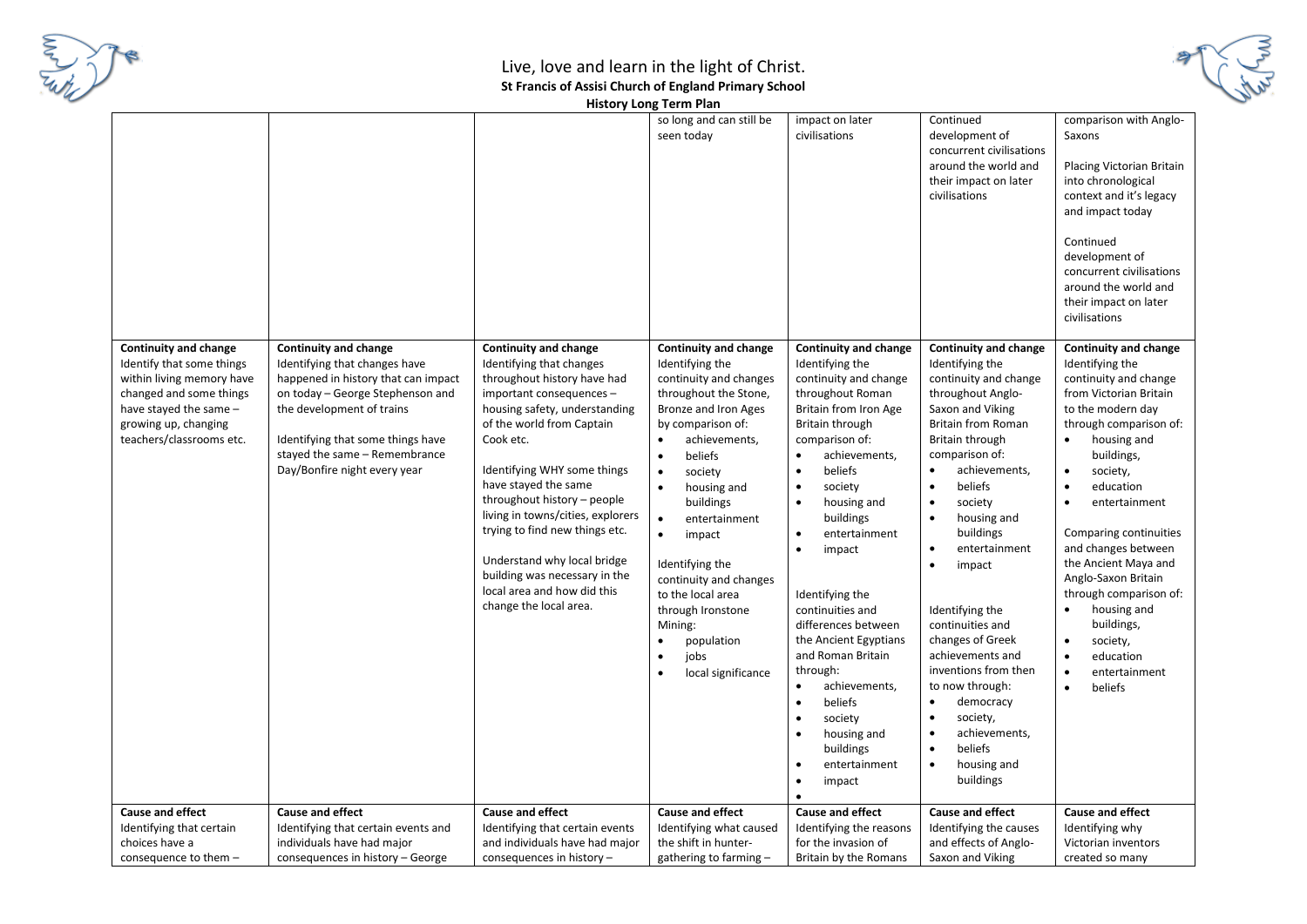



**History Long Term Plan**

|                                                                                                                                                                                          |                                                                                                                                                                                                                                                                             |                                                                                                                                                                                                                                                                                                                                                                                                                                                                                      | so long and can still be<br>seen today                                                                                                                                                                                                                                                                                                                                                                                                                                                 | impact on later<br>civilisations                                                                                                                                                                                                                                                                                                                                                                                                                                                                                                   | Continued<br>development of<br>concurrent civilisations<br>around the world and<br>their impact on later                                                                                                                                                                                                                                                                                                                                                                                                                                                                                                                             | comparison with Anglo-<br>Saxons<br>Placing Victorian Britain<br>into chronological                                                                                                                                                                                                                                                                                                                                                                                                                                                          |
|------------------------------------------------------------------------------------------------------------------------------------------------------------------------------------------|-----------------------------------------------------------------------------------------------------------------------------------------------------------------------------------------------------------------------------------------------------------------------------|--------------------------------------------------------------------------------------------------------------------------------------------------------------------------------------------------------------------------------------------------------------------------------------------------------------------------------------------------------------------------------------------------------------------------------------------------------------------------------------|----------------------------------------------------------------------------------------------------------------------------------------------------------------------------------------------------------------------------------------------------------------------------------------------------------------------------------------------------------------------------------------------------------------------------------------------------------------------------------------|------------------------------------------------------------------------------------------------------------------------------------------------------------------------------------------------------------------------------------------------------------------------------------------------------------------------------------------------------------------------------------------------------------------------------------------------------------------------------------------------------------------------------------|--------------------------------------------------------------------------------------------------------------------------------------------------------------------------------------------------------------------------------------------------------------------------------------------------------------------------------------------------------------------------------------------------------------------------------------------------------------------------------------------------------------------------------------------------------------------------------------------------------------------------------------|----------------------------------------------------------------------------------------------------------------------------------------------------------------------------------------------------------------------------------------------------------------------------------------------------------------------------------------------------------------------------------------------------------------------------------------------------------------------------------------------------------------------------------------------|
|                                                                                                                                                                                          |                                                                                                                                                                                                                                                                             |                                                                                                                                                                                                                                                                                                                                                                                                                                                                                      |                                                                                                                                                                                                                                                                                                                                                                                                                                                                                        |                                                                                                                                                                                                                                                                                                                                                                                                                                                                                                                                    | civilisations                                                                                                                                                                                                                                                                                                                                                                                                                                                                                                                                                                                                                        | context and it's legacy<br>and impact today<br>Continued                                                                                                                                                                                                                                                                                                                                                                                                                                                                                     |
|                                                                                                                                                                                          |                                                                                                                                                                                                                                                                             |                                                                                                                                                                                                                                                                                                                                                                                                                                                                                      |                                                                                                                                                                                                                                                                                                                                                                                                                                                                                        |                                                                                                                                                                                                                                                                                                                                                                                                                                                                                                                                    |                                                                                                                                                                                                                                                                                                                                                                                                                                                                                                                                                                                                                                      | development of<br>concurrent civilisations<br>around the world and<br>their impact on later<br>civilisations                                                                                                                                                                                                                                                                                                                                                                                                                                 |
| Continuity and change<br>Identify that some things<br>within living memory have<br>changed and some things<br>have stayed the same -<br>growing up, changing<br>teachers/classrooms etc. | <b>Continuity and change</b><br>Identifying that changes have<br>happened in history that can impact<br>on today - George Stephenson and<br>the development of trains<br>Identifying that some things have<br>stayed the same - Remembrance<br>Day/Bonfire night every year | <b>Continuity and change</b><br>Identifying that changes<br>throughout history have had<br>important consequences -<br>housing safety, understanding<br>of the world from Captain<br>Cook etc.<br>Identifying WHY some things<br>have stayed the same<br>throughout history - people<br>living in towns/cities, explorers<br>trying to find new things etc.<br>Understand why local bridge<br>building was necessary in the<br>local area and how did this<br>change the local area. | <b>Continuity and change</b><br>Identifying the<br>continuity and changes<br>throughout the Stone,<br>Bronze and Iron Ages<br>by comparison of:<br>achievements,<br>$\bullet$<br>beliefs<br>$\bullet$<br>$\bullet$<br>society<br>$\bullet$<br>housing and<br>buildings<br>$\bullet$<br>entertainment<br>$\bullet$<br>impact<br>Identifying the<br>continuity and changes<br>to the local area<br>through Ironstone<br>Mining:<br>$\bullet$<br>population<br>jobs<br>local significance | <b>Continuity and change</b><br>Identifying the<br>continuity and change<br>throughout Roman<br>Britain from Iron Age<br>Britain through<br>comparison of:<br>achievements,<br>beliefs<br>society<br>$\bullet$<br>housing and<br>buildings<br>entertainment<br>impact<br>$\bullet$<br>Identifying the<br>continuities and<br>differences between<br>the Ancient Egyptians<br>and Roman Britain<br>through:<br>achievements,<br>beliefs<br>society<br>$\bullet$<br>housing and<br>buildings<br>entertainment<br>impact<br>$\bullet$ | <b>Continuity and change</b><br>Identifying the<br>continuity and change<br>throughout Anglo-<br>Saxon and Viking<br>Britain from Roman<br>Britain through<br>comparison of:<br>achievements,<br>$\bullet$<br>beliefs<br>$\bullet$<br>society<br>$\bullet$<br>$\bullet$<br>housing and<br>buildings<br>entertainment<br>$\bullet$<br>impact<br>$\bullet$<br>Identifying the<br>continuities and<br>changes of Greek<br>achievements and<br>inventions from then<br>to now through:<br>democracy<br>$\bullet$<br>society,<br>$\bullet$<br>achievements,<br>$\bullet$<br>$\bullet$<br>beliefs<br>housing and<br>$\bullet$<br>buildings | <b>Continuity and change</b><br>Identifying the<br>continuity and change<br>from Victorian Britain<br>to the modern day<br>through comparison of:<br>housing and<br>$\bullet$<br>buildings,<br>$\bullet$<br>society,<br>$\bullet$<br>education<br>entertainment<br>$\bullet$<br>Comparing continuities<br>and changes between<br>the Ancient Maya and<br>Anglo-Saxon Britain<br>through comparison of:<br>housing and<br>buildings,<br>$\bullet$<br>society,<br>education<br>$\bullet$<br>$\bullet$<br>entertainment<br>$\bullet$<br>beliefs |
| <b>Cause and effect</b>                                                                                                                                                                  | <b>Cause and effect</b>                                                                                                                                                                                                                                                     | <b>Cause and effect</b>                                                                                                                                                                                                                                                                                                                                                                                                                                                              | <b>Cause and effect</b>                                                                                                                                                                                                                                                                                                                                                                                                                                                                | <b>Cause and effect</b>                                                                                                                                                                                                                                                                                                                                                                                                                                                                                                            | <b>Cause and effect</b>                                                                                                                                                                                                                                                                                                                                                                                                                                                                                                                                                                                                              | <b>Cause and effect</b>                                                                                                                                                                                                                                                                                                                                                                                                                                                                                                                      |
| Identifying that certain                                                                                                                                                                 | Identifying that certain events and                                                                                                                                                                                                                                         | Identifying that certain events                                                                                                                                                                                                                                                                                                                                                                                                                                                      | Identifying what caused                                                                                                                                                                                                                                                                                                                                                                                                                                                                | Identifying the reasons                                                                                                                                                                                                                                                                                                                                                                                                                                                                                                            | Identifying the causes                                                                                                                                                                                                                                                                                                                                                                                                                                                                                                                                                                                                               | Identifying why                                                                                                                                                                                                                                                                                                                                                                                                                                                                                                                              |
| choices have a<br>consequence to them -                                                                                                                                                  | individuals have had major<br>consequences in history - George                                                                                                                                                                                                              | and individuals have had major<br>consequences in history -                                                                                                                                                                                                                                                                                                                                                                                                                          | the shift in hunter-<br>gathering to farming -                                                                                                                                                                                                                                                                                                                                                                                                                                         | for the invasion of<br>Britain by the Romans                                                                                                                                                                                                                                                                                                                                                                                                                                                                                       | and effects of Anglo-<br>Saxon and Viking                                                                                                                                                                                                                                                                                                                                                                                                                                                                                                                                                                                            | Victorian inventors<br>created so many                                                                                                                                                                                                                                                                                                                                                                                                                                                                                                       |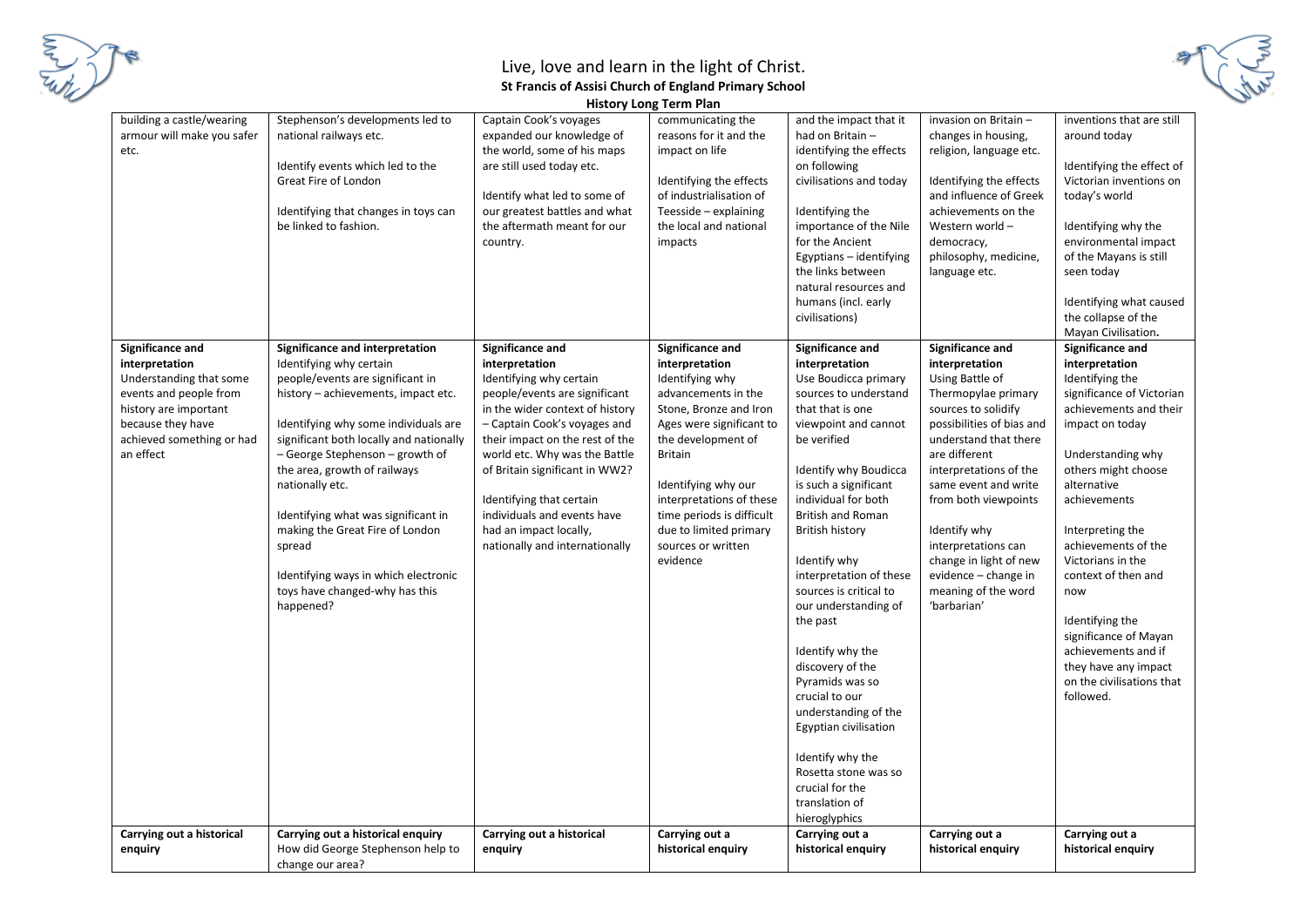

|                                                                                                                                                                                 |                                                                                                                                                                                                                                                                                                                                                                                                                                                                                           |                                                                                                                                                                                                                                                                                                                                                                                                | <b>History Long Term Plan</b>                                                                                                                                                                                                                                                                                          |                                                                                                                                                                                                                                                                                                                                                                                                                                                                                                                                                                                                                        |                                                                                                                                                                                                                                                                                                                                                                                     |                                                                                                                                                                                                                                                                                                                                                                                                                                               |
|---------------------------------------------------------------------------------------------------------------------------------------------------------------------------------|-------------------------------------------------------------------------------------------------------------------------------------------------------------------------------------------------------------------------------------------------------------------------------------------------------------------------------------------------------------------------------------------------------------------------------------------------------------------------------------------|------------------------------------------------------------------------------------------------------------------------------------------------------------------------------------------------------------------------------------------------------------------------------------------------------------------------------------------------------------------------------------------------|------------------------------------------------------------------------------------------------------------------------------------------------------------------------------------------------------------------------------------------------------------------------------------------------------------------------|------------------------------------------------------------------------------------------------------------------------------------------------------------------------------------------------------------------------------------------------------------------------------------------------------------------------------------------------------------------------------------------------------------------------------------------------------------------------------------------------------------------------------------------------------------------------------------------------------------------------|-------------------------------------------------------------------------------------------------------------------------------------------------------------------------------------------------------------------------------------------------------------------------------------------------------------------------------------------------------------------------------------|-----------------------------------------------------------------------------------------------------------------------------------------------------------------------------------------------------------------------------------------------------------------------------------------------------------------------------------------------------------------------------------------------------------------------------------------------|
| building a castle/wearing<br>armour will make you safer<br>etc.                                                                                                                 | Stephenson's developments led to<br>national railways etc.<br>Identify events which led to the<br>Great Fire of London<br>Identifying that changes in toys can<br>be linked to fashion.                                                                                                                                                                                                                                                                                                   | Captain Cook's voyages<br>expanded our knowledge of<br>the world, some of his maps<br>are still used today etc.<br>Identify what led to some of<br>our greatest battles and what<br>the aftermath meant for our<br>country.                                                                                                                                                                    | communicating the<br>reasons for it and the<br>impact on life<br>Identifying the effects<br>of industrialisation of<br>Teesside - explaining<br>the local and national<br>impacts                                                                                                                                      | and the impact that it<br>had on Britain-<br>identifying the effects<br>on following<br>civilisations and today<br>Identifying the<br>importance of the Nile<br>for the Ancient<br>Egyptians - identifying<br>the links between<br>natural resources and<br>humans (incl. early<br>civilisations)                                                                                                                                                                                                                                                                                                                      | invasion on Britain -<br>changes in housing,<br>religion, language etc.<br>Identifying the effects<br>and influence of Greek<br>achievements on the<br>Western world -<br>democracy,<br>philosophy, medicine,<br>language etc.                                                                                                                                                      | inventions that are still<br>around today<br>Identifying the effect of<br>Victorian inventions on<br>today's world<br>Identifying why the<br>environmental impact<br>of the Mayans is still<br>seen today<br>Identifying what caused<br>the collapse of the<br>Mayan Civilisation.                                                                                                                                                            |
| Significance and<br>interpretation<br>Understanding that some<br>events and people from<br>history are important<br>because they have<br>achieved something or had<br>an effect | Significance and interpretation<br>Identifying why certain<br>people/events are significant in<br>history - achievements, impact etc.<br>Identifying why some individuals are<br>significant both locally and nationally<br>- George Stephenson - growth of<br>the area, growth of railways<br>nationally etc.<br>Identifying what was significant in<br>making the Great Fire of London<br>spread<br>Identifying ways in which electronic<br>toys have changed-why has this<br>happened? | Significance and<br>interpretation<br>Identifying why certain<br>people/events are significant<br>in the wider context of history<br>- Captain Cook's voyages and<br>their impact on the rest of the<br>world etc. Why was the Battle<br>of Britain significant in WW2?<br>Identifying that certain<br>individuals and events have<br>had an impact locally,<br>nationally and internationally | Significance and<br>interpretation<br>Identifying why<br>advancements in the<br>Stone, Bronze and Iron<br>Ages were significant to<br>the development of<br><b>Britain</b><br>Identifying why our<br>interpretations of these<br>time periods is difficult<br>due to limited primary<br>sources or written<br>evidence | Significance and<br>interpretation<br>Use Boudicca primary<br>sources to understand<br>that that is one<br>viewpoint and cannot<br>be verified<br>Identify why Boudicca<br>is such a significant<br>individual for both<br><b>British and Roman</b><br><b>British history</b><br>Identify why<br>interpretation of these<br>sources is critical to<br>our understanding of<br>the past<br>Identify why the<br>discovery of the<br>Pyramids was so<br>crucial to our<br>understanding of the<br>Egyptian civilisation<br>Identify why the<br>Rosetta stone was so<br>crucial for the<br>translation of<br>hieroglyphics | Significance and<br>interpretation<br>Using Battle of<br>Thermopylae primary<br>sources to solidify<br>possibilities of bias and<br>understand that there<br>are different<br>interpretations of the<br>same event and write<br>from both viewpoints<br>Identify why<br>interpretations can<br>change in light of new<br>evidence - change in<br>meaning of the word<br>'barbarian' | Significance and<br>interpretation<br>Identifying the<br>significance of Victorian<br>achievements and their<br>impact on today<br>Understanding why<br>others might choose<br>alternative<br>achievements<br>Interpreting the<br>achievements of the<br>Victorians in the<br>context of then and<br>now<br>Identifying the<br>significance of Mayan<br>achievements and if<br>they have any impact<br>on the civilisations that<br>followed. |
| Carrying out a historical<br>enquiry                                                                                                                                            | Carrying out a historical enquiry<br>How did George Stephenson help to<br>change our area?                                                                                                                                                                                                                                                                                                                                                                                                | Carrying out a historical<br>enquiry                                                                                                                                                                                                                                                                                                                                                           | Carrying out a<br>historical enquiry                                                                                                                                                                                                                                                                                   | Carrying out a<br>historical enquiry                                                                                                                                                                                                                                                                                                                                                                                                                                                                                                                                                                                   | Carrying out a<br>historical enguiry                                                                                                                                                                                                                                                                                                                                                | Carrying out a<br>historical enguiry                                                                                                                                                                                                                                                                                                                                                                                                          |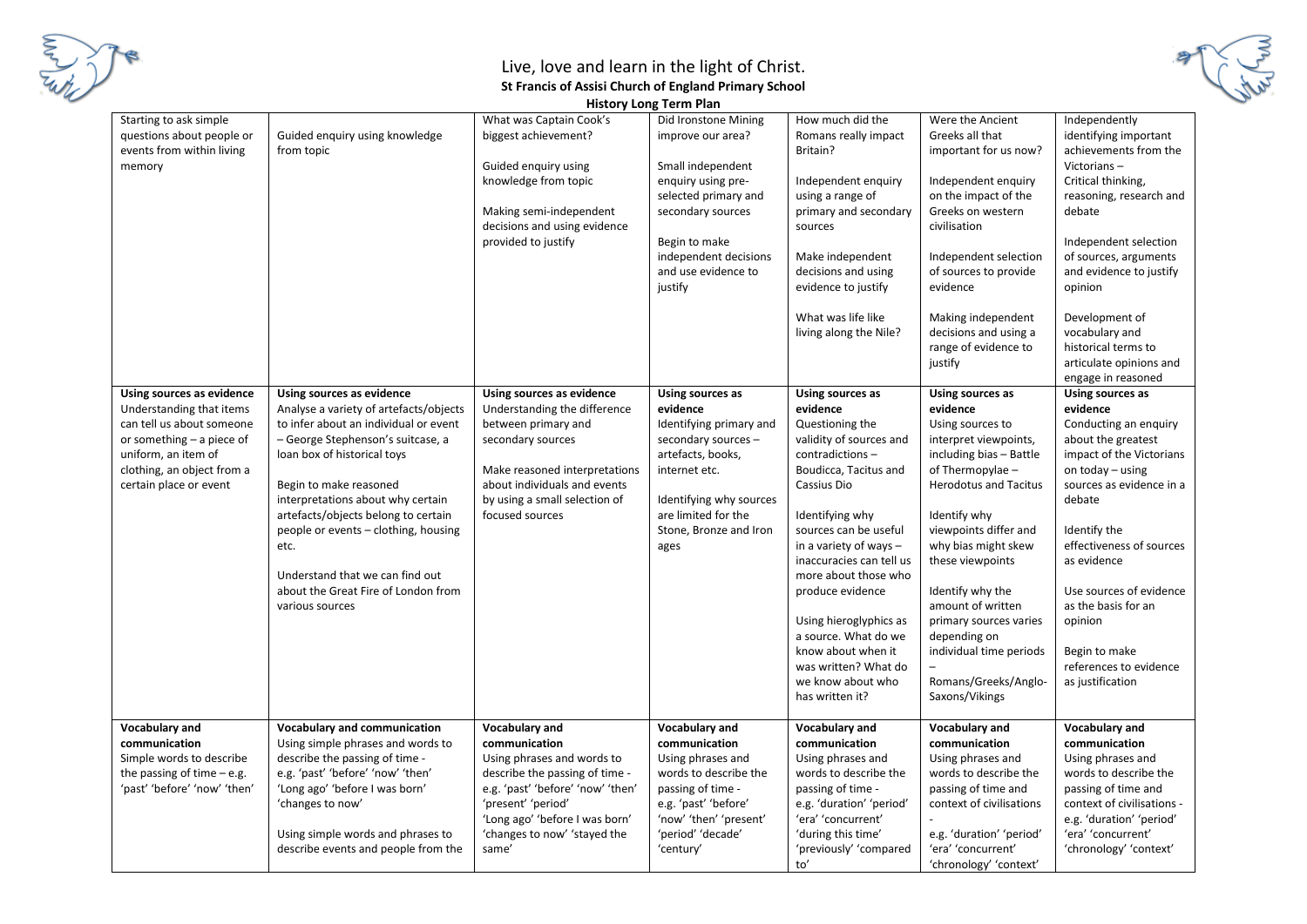

| <b>History Long Term Plan</b>                                                                                                                                                                  |                                                                                                                                                                                                                                                                                                                                                                                                                                     |                                                                                                                                                                                                                            |                                                                                                                                                                                                               |                                                                                                                                                                                                                                                                                     |                                                                                                                                                                                                                                                                                                  |                                                                                                                                                                                                                                                                                                                                 |
|------------------------------------------------------------------------------------------------------------------------------------------------------------------------------------------------|-------------------------------------------------------------------------------------------------------------------------------------------------------------------------------------------------------------------------------------------------------------------------------------------------------------------------------------------------------------------------------------------------------------------------------------|----------------------------------------------------------------------------------------------------------------------------------------------------------------------------------------------------------------------------|---------------------------------------------------------------------------------------------------------------------------------------------------------------------------------------------------------------|-------------------------------------------------------------------------------------------------------------------------------------------------------------------------------------------------------------------------------------------------------------------------------------|--------------------------------------------------------------------------------------------------------------------------------------------------------------------------------------------------------------------------------------------------------------------------------------------------|---------------------------------------------------------------------------------------------------------------------------------------------------------------------------------------------------------------------------------------------------------------------------------------------------------------------------------|
| Starting to ask simple<br>questions about people or<br>events from within living<br>memory                                                                                                     | Guided enquiry using knowledge<br>from topic                                                                                                                                                                                                                                                                                                                                                                                        | What was Captain Cook's<br>biggest achievement?<br>Guided enquiry using<br>knowledge from topic<br>Making semi-independent<br>decisions and using evidence<br>provided to justify                                          | Did Ironstone Mining<br>improve our area?<br>Small independent<br>enquiry using pre-<br>selected primary and<br>secondary sources<br>Begin to make<br>independent decisions<br>and use evidence to<br>justify | How much did the<br>Romans really impact<br>Britain?<br>Independent enquiry<br>using a range of<br>primary and secondary<br>sources<br>Make independent<br>decisions and using<br>evidence to justify<br>What was life like<br>living along the Nile?                               | Were the Ancient<br>Greeks all that<br>important for us now?<br>Independent enquiry<br>on the impact of the<br>Greeks on western<br>civilisation<br>Independent selection<br>of sources to provide<br>evidence<br>Making independent<br>decisions and using a<br>range of evidence to            | Independently<br>identifying important<br>achievements from the<br>Victorians-<br>Critical thinking,<br>reasoning, research and<br>debate<br>Independent selection<br>of sources, arguments<br>and evidence to justify<br>opinion<br>Development of<br>vocabulary and<br>historical terms to                                    |
| Using sources as evidence<br>Understanding that items<br>can tell us about someone<br>or something - a piece of<br>uniform, an item of<br>clothing, an object from a<br>certain place or event | Using sources as evidence<br>Analyse a variety of artefacts/objects<br>to infer about an individual or event<br>– George Stephenson's suitcase, a<br>loan box of historical toys<br>Begin to make reasoned<br>interpretations about why certain<br>artefacts/objects belong to certain<br>people or events - clothing, housing<br>etc.<br>Understand that we can find out<br>about the Great Fire of London from<br>various sources | Using sources as evidence<br>Understanding the difference<br>between primary and<br>secondary sources<br>Make reasoned interpretations<br>about individuals and events<br>by using a small selection of<br>focused sources | Using sources as<br>evidence<br>Identifying primary and<br>secondary sources -<br>artefacts, books,<br>internet etc.<br>Identifying why sources<br>are limited for the<br>Stone, Bronze and Iron<br>ages      | Using sources as<br>evidence<br>Questioning the<br>validity of sources and<br>contradictions-<br>Boudicca, Tacitus and<br>Cassius Dio<br>Identifying why<br>sources can be useful<br>in a variety of ways -<br>inaccuracies can tell us<br>more about those who<br>produce evidence | justify<br>Using sources as<br>evidence<br>Using sources to<br>interpret viewpoints,<br>including bias - Battle<br>of Thermopylae -<br><b>Herodotus and Tacitus</b><br>Identify why<br>viewpoints differ and<br>why bias might skew<br>these viewpoints<br>Identify why the<br>amount of written | articulate opinions and<br>engage in reasoned<br>Using sources as<br>evidence<br>Conducting an enquiry<br>about the greatest<br>impact of the Victorians<br>on today - using<br>sources as evidence in a<br>debate<br>Identify the<br>effectiveness of sources<br>as evidence<br>Use sources of evidence<br>as the basis for an |
| Vocabulary and<br>communication<br>Simple words to describe<br>the passing of time $-e.g.$<br>'past' 'before' 'now' 'then'                                                                     | <b>Vocabulary and communication</b><br>Using simple phrases and words to<br>describe the passing of time -<br>e.g. 'past' 'before' 'now' 'then'<br>'Long ago' 'before I was born'                                                                                                                                                                                                                                                   | Vocabulary and<br>communication<br>Using phrases and words to<br>describe the passing of time -<br>e.g. 'past' 'before' 'now' 'then'                                                                                       | Vocabulary and<br>communication<br>Using phrases and<br>words to describe the<br>passing of time -                                                                                                            | Using hieroglyphics as<br>a source. What do we<br>know about when it<br>was written? What do<br>we know about who<br>has written it?<br>Vocabulary and<br>communication<br>Using phrases and<br>words to describe the<br>passing of time -                                          | primary sources varies<br>depending on<br>individual time periods<br>Romans/Greeks/Anglo-<br>Saxons/Vikings<br>Vocabulary and<br>communication<br>Using phrases and<br>words to describe the<br>passing of time and                                                                              | opinion<br>Begin to make<br>references to evidence<br>as justification<br>Vocabulary and<br>communication<br>Using phrases and<br>words to describe the<br>passing of time and                                                                                                                                                  |
|                                                                                                                                                                                                | 'changes to now'<br>Using simple words and phrases to<br>describe events and people from the                                                                                                                                                                                                                                                                                                                                        | 'present' 'period'<br>'Long ago' 'before I was born'<br>'changes to now' 'stayed the<br>same'                                                                                                                              | e.g. 'past' 'before'<br>'now' 'then' 'present'<br>'period' 'decade'<br>'century'                                                                                                                              | e.g. 'duration' 'period'<br>'era' 'concurrent'<br>'during this time'<br>'previously' 'compared<br>to'                                                                                                                                                                               | context of civilisations<br>e.g. 'duration' 'period'<br>'era' 'concurrent'<br>'chronology' 'context'                                                                                                                                                                                             | context of civilisations -<br>e.g. 'duration' 'period'<br>'era' 'concurrent'<br>'chronology' 'context'                                                                                                                                                                                                                          |